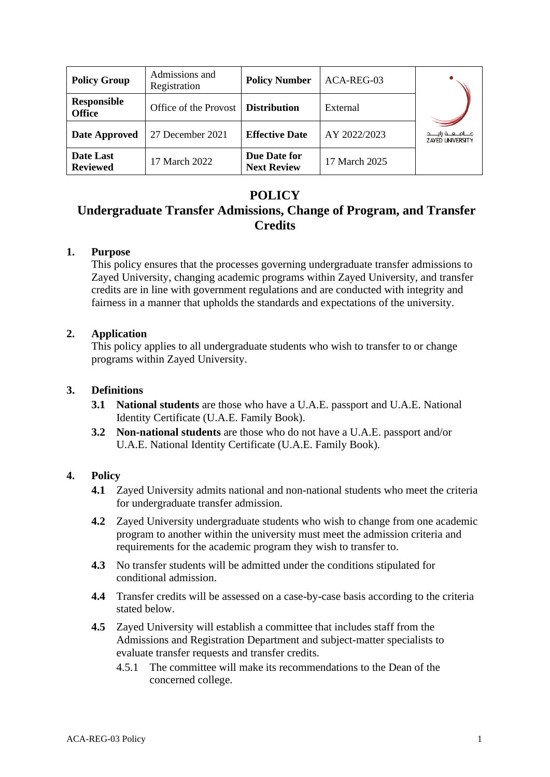| <b>Policy Group</b>                 | Admissions and<br>Registration       | <b>Policy Number</b>               | ACA-REG-03    |                                                      |
|-------------------------------------|--------------------------------------|------------------------------------|---------------|------------------------------------------------------|
| <b>Responsible</b><br><b>Office</b> | Office of the Provost   Distribution |                                    | External      |                                                      |
| <b>Date Approved</b>                | 27 December 2021                     | <b>Effective Date</b>              | AY 2022/2023  | مــــامـــعـــة زايـــــد<br><b>ZAYED UNIVERSITY</b> |
| Date Last<br><b>Reviewed</b>        | 17 March 2022                        | Due Date for<br><b>Next Review</b> | 17 March 2025 |                                                      |

## **POLICY**

## **Undergraduate Transfer Admissions, Change of Program, and Transfer Credits**

### **1. Purpose**

This policy ensures that the processes governing undergraduate transfer admissions to Zayed University, changing academic programs within Zayed University, and transfer credits are in line with government regulations and are conducted with integrity and fairness in a manner that upholds the standards and expectations of the university.

### **2. Application**

This policy applies to all undergraduate students who wish to transfer to or change programs within Zayed University.

### **3. Definitions**

- **3.1 National students** are those who have a U.A.E. passport and U.A.E. National Identity Certificate (U.A.E. Family Book).
- **3.2 Non-national students** are those who do not have a U.A.E. passport and/or U.A.E. National Identity Certificate (U.A.E. Family Book).

### **4. Policy**

- **4.1** Zayed University admits national and non-national students who meet the criteria for undergraduate transfer admission.
- **4.2** Zayed University undergraduate students who wish to change from one academic program to another within the university must meet the admission criteria and requirements for the academic program they wish to transfer to.
- **4.3** No transfer students will be admitted under the conditions stipulated for conditional admission.
- **4.4** Transfer credits will be assessed on a case-by-case basis according to the criteria stated below.
- **4.5** Zayed University will establish a committee that includes staff from the Admissions and Registration Department and subject-matter specialists to evaluate transfer requests and transfer credits.
	- 4.5.1 The committee will make its recommendations to the Dean of the concerned college.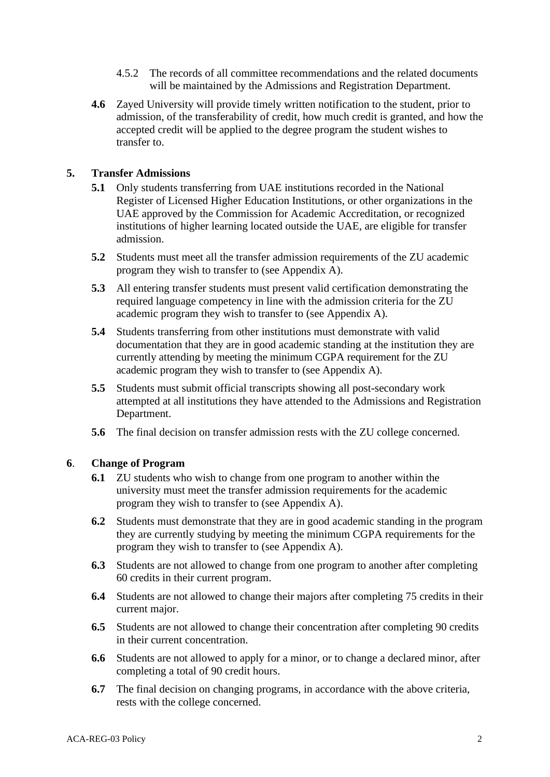- 4.5.2 The records of all committee recommendations and the related documents will be maintained by the Admissions and Registration Department.
- **4.6** Zayed University will provide timely written notification to the student, prior to admission, of the transferability of credit, how much credit is granted, and how the accepted credit will be applied to the degree program the student wishes to transfer to.

#### **5. Transfer Admissions**

- **5.1** Only students transferring from UAE institutions recorded in the National Register of Licensed Higher Education Institutions, or other organizations in the UAE approved by the Commission for Academic Accreditation, or recognized institutions of higher learning located outside the UAE, are eligible for transfer admission.
- **5.2** Students must meet all the transfer admission requirements of the ZU academic program they wish to transfer to (see Appendix A).
- **5.3** All entering transfer students must present valid certification demonstrating the required language competency in line with the admission criteria for the ZU academic program they wish to transfer to (see Appendix A).
- **5.4** Students transferring from other institutions must demonstrate with valid documentation that they are in good academic standing at the institution they are currently attending by meeting the minimum CGPA requirement for the ZU academic program they wish to transfer to (see Appendix A).
- **5.5** Students must submit official transcripts showing all post-secondary work attempted at all institutions they have attended to the Admissions and Registration Department.
- **5.6** The final decision on transfer admission rests with the ZU college concerned.

#### **6**. **Change of Program**

- **6.1** ZU students who wish to change from one program to another within the university must meet the transfer admission requirements for the academic program they wish to transfer to (see Appendix A).
- **6.2** Students must demonstrate that they are in good academic standing in the program they are currently studying by meeting the minimum CGPA requirements for the program they wish to transfer to (see Appendix A).
- **6.3** Students are not allowed to change from one program to another after completing 60 credits in their current program.
- **6.4** Students are not allowed to change their majors after completing 75 credits in their current major.
- **6.5** Students are not allowed to change their concentration after completing 90 credits in their current concentration.
- **6.6** Students are not allowed to apply for a minor, or to change a declared minor, after completing a total of 90 credit hours.
- **6.7** The final decision on changing programs, in accordance with the above criteria, rests with the college concerned.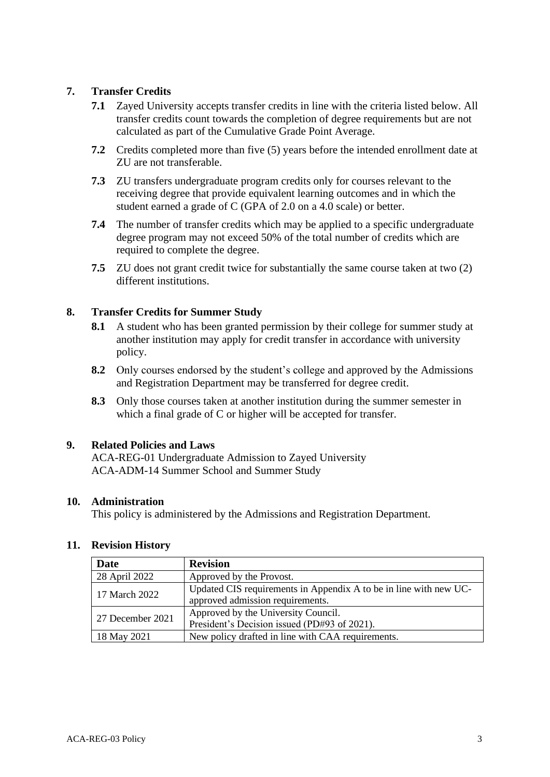### **7. Transfer Credits**

- **7.1** Zayed University accepts transfer credits in line with the criteria listed below. All transfer credits count towards the completion of degree requirements but are not calculated as part of the Cumulative Grade Point Average.
- **7.2** Credits completed more than five (5) years before the intended enrollment date at ZU are not transferable.
- **7.3** ZU transfers undergraduate program credits only for courses relevant to the receiving degree that provide equivalent learning outcomes and in which the student earned a grade of C (GPA of 2.0 on a 4.0 scale) or better.
- **7.4** The number of transfer credits which may be applied to a specific undergraduate degree program may not exceed 50% of the total number of credits which are required to complete the degree.
- **7.5** ZU does not grant credit twice for substantially the same course taken at two (2) different institutions.

### **8. Transfer Credits for Summer Study**

- **8.1** A student who has been granted permission by their college for summer study at another institution may apply for credit transfer in accordance with university policy.
- **8.2** Only courses endorsed by the student's college and approved by the Admissions and Registration Department may be transferred for degree credit.
- **8.3** Only those courses taken at another institution during the summer semester in which a final grade of C or higher will be accepted for transfer.

### **9. Related Policies and Laws**

ACA-REG-01 Undergraduate Admission to Zayed University ACA-ADM-14 Summer School and Summer Study

### **10. Administration**

This policy is administered by the Admissions and Registration Department.

| <b>Date</b>      | <b>Revision</b>                                                                                       |  |
|------------------|-------------------------------------------------------------------------------------------------------|--|
| 28 April 2022    | Approved by the Provost.                                                                              |  |
| 17 March 2022    | Updated CIS requirements in Appendix A to be in line with new UC-<br>approved admission requirements. |  |
| 27 December 2021 | Approved by the University Council.<br>President's Decision issued (PD#93 of 2021).                   |  |
| 18 May 2021      | New policy drafted in line with CAA requirements.                                                     |  |

### **11. Revision History**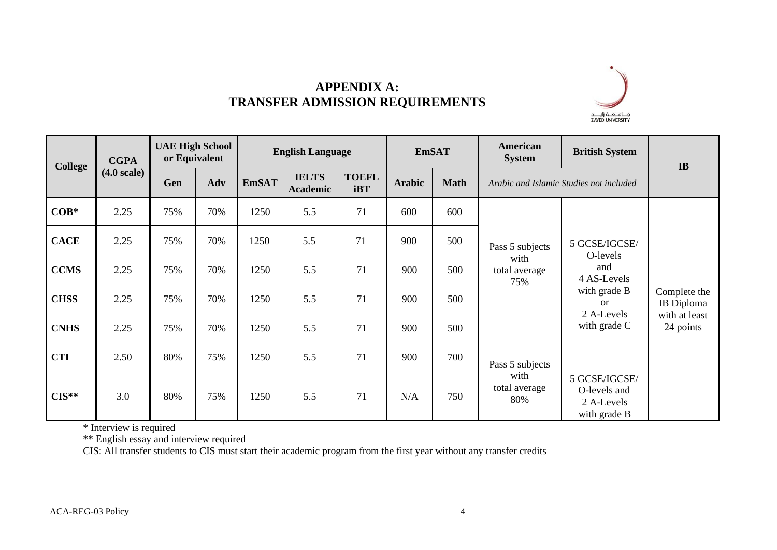

# **APPENDIX A: TRANSFER ADMISSION REQUIREMENTS**

|             | <b>CGPA</b><br><b>College</b><br>$(4.0 \text{ scale})$ | <b>UAE High School</b><br>or Equivalent |     | <b>English Language</b> |                                 | <b>EmSAT</b>               |               | American<br><b>System</b> | <b>British System</b>                           | IB                                                                                                          |                                                          |
|-------------|--------------------------------------------------------|-----------------------------------------|-----|-------------------------|---------------------------------|----------------------------|---------------|---------------------------|-------------------------------------------------|-------------------------------------------------------------------------------------------------------------|----------------------------------------------------------|
|             |                                                        | Gen                                     | Adv | <b>EmSAT</b>            | <b>IELTS</b><br><b>Academic</b> | <b>TOEFL</b><br><b>iBT</b> | <b>Arabic</b> | <b>Math</b>               |                                                 | Arabic and Islamic Studies not included                                                                     |                                                          |
| $COB*$      | 2.25                                                   | 75%                                     | 70% | 1250                    | 5.5                             | 71                         | 600           | 600                       | Pass 5 subjects<br>with<br>total average<br>75% | 5 GCSE/IGCSE/<br>O-levels<br>and<br>4 AS-Levels<br>with grade B<br>$\alpha$<br>2 A-Levels<br>with grade $C$ | Complete the<br>IB Diploma<br>with at least<br>24 points |
| <b>CACE</b> | 2.25                                                   | 75%                                     | 70% | 1250                    | 5.5                             | 71                         | 900           | 500                       |                                                 |                                                                                                             |                                                          |
| <b>CCMS</b> | 2.25                                                   | 75%                                     | 70% | 1250                    | 5.5                             | 71                         | 900           | 500                       |                                                 |                                                                                                             |                                                          |
| <b>CHSS</b> | 2.25                                                   | 75%                                     | 70% | 1250                    | 5.5                             | 71                         | 900           | 500                       |                                                 |                                                                                                             |                                                          |
| <b>CNHS</b> | 2.25                                                   | 75%                                     | 70% | 1250                    | 5.5                             | 71                         | 900           | 500                       |                                                 |                                                                                                             |                                                          |
| <b>CTI</b>  | 2.50                                                   | 80%                                     | 75% | 1250                    | 5.5                             | 71                         | 900           | 700                       | Pass 5 subjects<br>with<br>total average<br>80% |                                                                                                             |                                                          |
| $CIS**$     | 3.0                                                    | 80%                                     | 75% | 1250                    | 5.5                             | 71                         | N/A           | 750                       |                                                 | 5 GCSE/IGCSE/<br>O-levels and<br>2 A-Levels<br>with grade B                                                 |                                                          |

\* Interview is required

\*\* English essay and interview required

CIS: All transfer students to CIS must start their academic program from the first year without any transfer credits